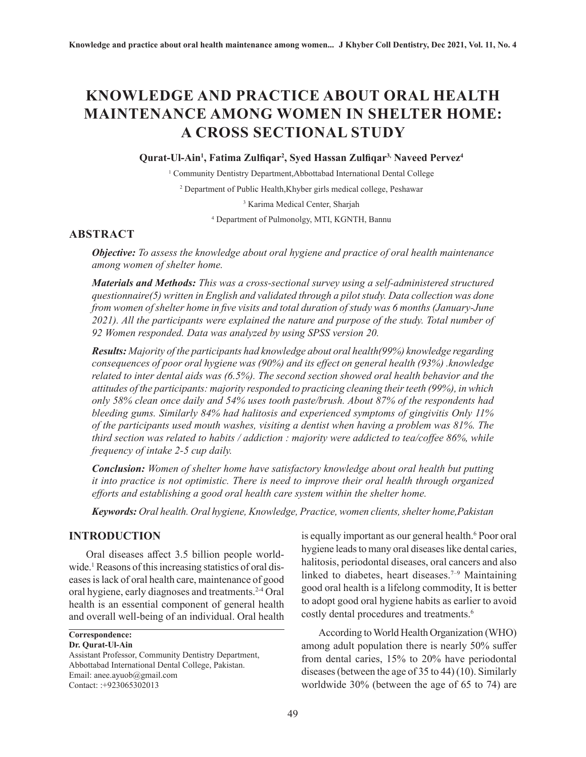# **KNOWLEDGE AND PRACTICE ABOUT ORAL HEALTH MAINTENANCE AMONG WOMEN IN SHELTER HOME: A CROSS SECTIONAL STUDY**

### **Qurat-Ul-Ain1 , Fatima Zulfiqar<sup>2</sup> , Syed Hassan Zulfiqar3, Naveed Pervez4**

<sup>1</sup> Community Dentistry Department, Abbottabad International Dental College

2 Department of Public Health,Khyber girls medical college, Peshawar

3 Karima Medical Center, Sharjah

4 Department of Pulmonolgy, MTI, KGNTH, Bannu

## **ABSTRACT**

*Objective: To assess the knowledge about oral hygiene and practice of oral health maintenance among women of shelter home.* 

*Materials and Methods: This was a cross-sectional survey using a self-administered structured questionnaire(5) written in English and validated through a pilot study. Data collection was done from women of shelter home in five visits and total duration of study was 6 months (January-June 2021). All the participants were explained the nature and purpose of the study. Total number of 92 Women responded. Data was analyzed by using SPSS version 20.*

*Results: Majority of the participants had knowledge about oral health(99%) knowledge regarding consequences of poor oral hygiene was (90%) and its effect on general health (93%) .knowledge related to inter dental aids was (6.5%). The second section showed oral health behavior and the attitudes of the participants: majority responded to practicing cleaning their teeth (99%), in which only 58% clean once daily and 54% uses tooth paste/brush. About 87% of the respondents had bleeding gums. Similarly 84% had halitosis and experienced symptoms of gingivitis Only 11% of the participants used mouth washes, visiting a dentist when having a problem was 81%. The third section was related to habits / addiction : majority were addicted to tea/coffee 86%, while frequency of intake 2-5 cup daily.*

*Conclusion: Women of shelter home have satisfactory knowledge about oral health but putting it into practice is not optimistic. There is need to improve their oral health through organized efforts and establishing a good oral health care system within the shelter home.*

*Keywords: Oral health. Oral hygiene, Knowledge, Practice, women clients, shelter home,Pakistan*

## **INTRODUCTION**

Oral diseases affect 3.5 billion people worldwide.<sup>1</sup> Reasons of this increasing statistics of oral diseases is lack of oral health care, maintenance of good oral hygiene, early diagnoses and treatments.2-4 Oral health is an essential component of general health and overall well-being of an individual. Oral health

**Correspondence:**

#### **Dr. Qurat-Ul-Ain**

Assistant Professor, Community Dentistry Department, Abbottabad International Dental College, Pakistan. Email: anee.ayuob@gmail.com Contact: :+923065302013

is equally important as our general health.<sup>6</sup> Poor oral hygiene leads to many oral diseases like dental caries, halitosis, periodontal diseases, oral cancers and also linked to diabetes, heart diseases.<sup> $7-9$ </sup> Maintaining good oral health is a lifelong commodity, It is better to adopt good oral hygiene habits as earlier to avoid costly dental procedures and treatments.<sup>6</sup>

According to World Health Organization (WHO) among adult population there is nearly 50% suffer from dental caries, 15% to 20% have periodontal diseases (between the age of 35 to 44) (10). Similarly worldwide 30% (between the age of 65 to 74) are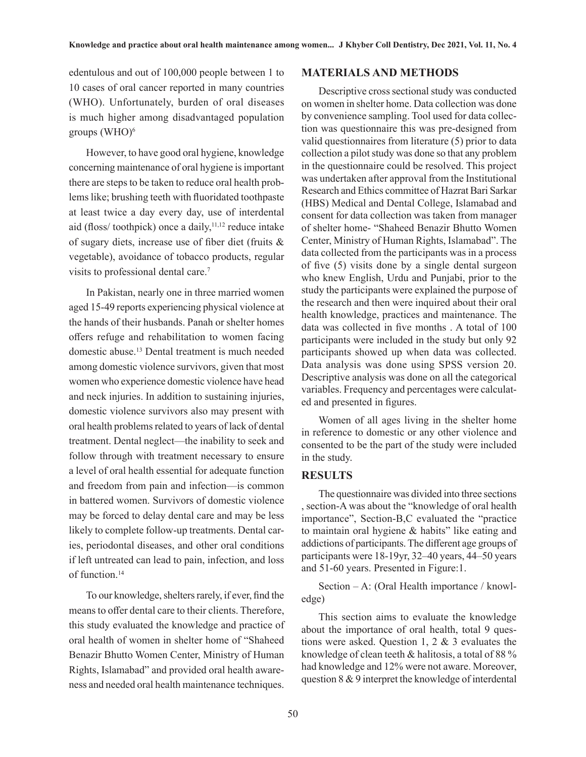edentulous and out of 100,000 people between 1 to 10 cases of oral cancer reported in many countries (WHO). Unfortunately, burden of oral diseases is much higher among disadvantaged population groups  $(WHO)^6$ 

However, to have good oral hygiene, knowledge concerning maintenance of oral hygiene is important there are steps to be taken to reduce oral health problems like; brushing teeth with fluoridated toothpaste at least twice a day every day, use of interdental aid (floss/ toothpick) once a daily, $11,12$  reduce intake of sugary diets, increase use of fiber diet (fruits & vegetable), avoidance of tobacco products, regular visits to professional dental care.7

In Pakistan, nearly one in three married women aged 15-49 reports experiencing physical violence at the hands of their husbands. Panah or shelter homes offers refuge and rehabilitation to women facing domestic abuse.13 Dental treatment is much needed among domestic violence survivors, given that most women who experience domestic violence have head and neck injuries. In addition to sustaining injuries, domestic violence survivors also may present with oral health problems related to years of lack of dental treatment. Dental neglect—the inability to seek and follow through with treatment necessary to ensure a level of oral health essential for adequate function and freedom from pain and infection—is common in battered women. Survivors of domestic violence may be forced to delay dental care and may be less likely to complete follow-up treatments. Dental caries, periodontal diseases, and other oral conditions if left untreated can lead to pain, infection, and loss of function.14

To our knowledge, shelters rarely, if ever, find the means to offer dental care to their clients. Therefore, this study evaluated the knowledge and practice of oral health of women in shelter home of "Shaheed Benazir Bhutto Women Center, Ministry of Human Rights, Islamabad" and provided oral health awareness and needed oral health maintenance techniques.

## **MATERIALS AND METHODS**

Descriptive cross sectional study was conducted on women in shelter home. Data collection was done by convenience sampling. Tool used for data collection was questionnaire this was pre-designed from valid questionnaires from literature (5) prior to data collection a pilot study was done so that any problem in the questionnaire could be resolved. This project was undertaken after approval from the Institutional Research and Ethics committee of Hazrat Bari Sarkar (HBS) Medical and Dental College, Islamabad and consent for data collection was taken from manager of shelter home- "Shaheed Benazir Bhutto Women Center, Ministry of Human Rights, Islamabad". The data collected from the participants was in a process of five (5) visits done by a single dental surgeon who knew English, Urdu and Punjabi, prior to the study the participants were explained the purpose of the research and then were inquired about their oral health knowledge, practices and maintenance. The data was collected in five months . A total of 100 participants were included in the study but only 92 participants showed up when data was collected. Data analysis was done using SPSS version 20. Descriptive analysis was done on all the categorical variables. Frequency and percentages were calculated and presented in figures.

Women of all ages living in the shelter home in reference to domestic or any other violence and consented to be the part of the study were included in the study.

## **RESULTS**

The questionnaire was divided into three sections , section-A was about the "knowledge of oral health importance", Section-B,C evaluated the "practice to maintain oral hygiene & habits" like eating and addictions of participants. The different age groups of participants were 18-19yr, 32–40 years, 44–50 years and 51-60 years. Presented in Figure:1.

Section – A: (Oral Health importance / knowledge)

This section aims to evaluate the knowledge about the importance of oral health, total 9 questions were asked. Question 1, 2 & 3 evaluates the knowledge of clean teeth & halitosis, a total of 88 % had knowledge and 12% were not aware. Moreover, question 8 & 9 interpret the knowledge of interdental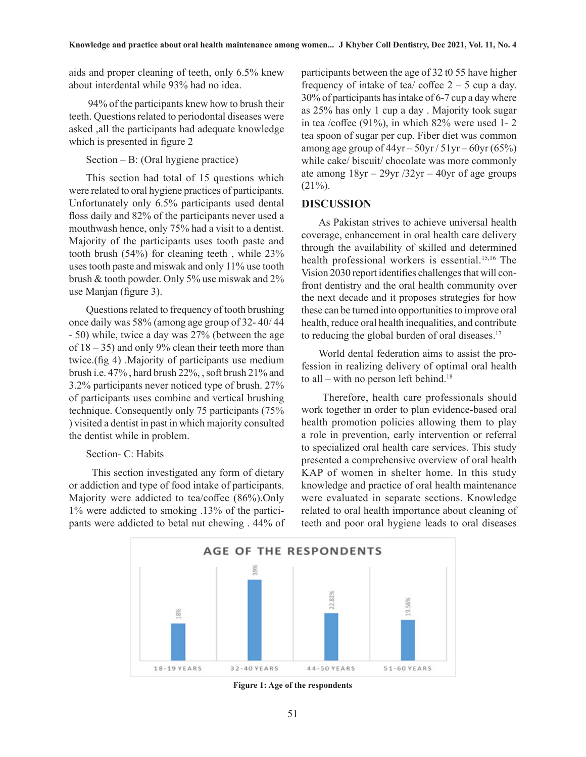aids and proper cleaning of teeth, only 6.5% knew about interdental while 93% had no idea.

 94% of the participants knew how to brush their teeth. Questions related to periodontal diseases were asked ,all the participants had adequate knowledge which is presented in figure 2

Section – B: (Oral hygiene practice)

This section had total of 15 questions which were related to oral hygiene practices of participants. Unfortunately only 6.5% participants used dental floss daily and 82% of the participants never used a mouthwash hence, only 75% had a visit to a dentist. Majority of the participants uses tooth paste and tooth brush (54%) for cleaning teeth , while 23% uses tooth paste and miswak and only 11% use tooth brush & tooth powder. Only 5% use miswak and 2% use Manjan (figure 3).

Questions related to frequency of tooth brushing once daily was 58% (among age group of 32- 40/ 44 - 50) while, twice a day was 27% (between the age of  $18 - 35$ ) and only 9% clean their teeth more than twice.(fig 4) .Majority of participants use medium brush i.e. 47% , hard brush 22%, , soft brush 21% and 3.2% participants never noticed type of brush. 27% of participants uses combine and vertical brushing technique. Consequently only 75 participants (75% ) visited a dentist in past in which majority consulted the dentist while in problem.

#### Section- C: Habits

This section investigated any form of dietary or addiction and type of food intake of participants. Majority were addicted to tea/coffee (86%).Only 1% were addicted to smoking .13% of the participants were addicted to betal nut chewing . 44% of participants between the age of 32 t0 55 have higher frequency of intake of tea/ coffee  $2 - 5$  cup a day. 30% of participants has intake of 6-7 cup a day where as 25% has only 1 cup a day . Majority took sugar in tea /coffee (91%), in which 82% were used 1- 2 tea spoon of sugar per cup. Fiber diet was common among age group of  $44yr - 50yr / 51yr - 60yr (65%)$ while cake/ biscuit/ chocolate was more commonly ate among  $18yr - 29yr / 32yr - 40yr$  of age groups  $(21\%)$ .

#### **DISCUSSION**

As Pakistan strives to achieve universal health coverage, enhancement in oral health care delivery through the availability of skilled and determined health professional workers is essential.15,16 The Vision 2030 report identifies challenges that will confront dentistry and the oral health community over the next decade and it proposes strategies for how these can be turned into opportunities to improve oral health, reduce oral health inequalities, and contribute to reducing the global burden of oral diseases.<sup>17</sup>

World dental federation aims to assist the profession in realizing delivery of optimal oral health to all – with no person left behind.<sup>18</sup>

 Therefore, health care professionals should work together in order to plan evidence-based oral health promotion policies allowing them to play a role in prevention, early intervention or referral to specialized oral health care services. This study presented a comprehensive overview of oral health KAP of women in shelter home. In this study knowledge and practice of oral health maintenance were evaluated in separate sections. Knowledge related to oral health importance about cleaning of teeth and poor oral hygiene leads to oral diseases



**Figure 1: Age of the respondents**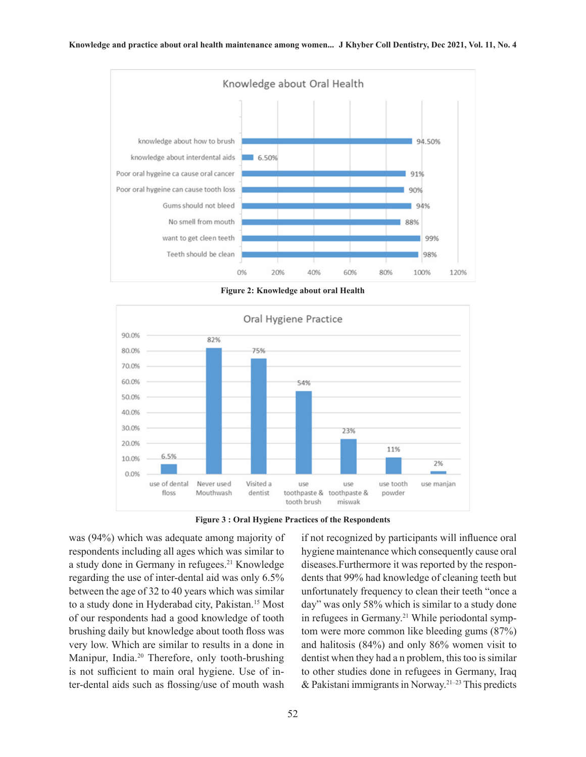

**Figure 2: Knowledge about oral Health**



**Figure 3 : Oral Hygiene Practices of the Respondents**

was (94%) which was adequate among majority of respondents including all ages which was similar to a study done in Germany in refugees.21 Knowledge regarding the use of inter-dental aid was only 6.5% between the age of 32 to 40 years which was similar to a study done in Hyderabad city, Pakistan.15 Most of our respondents had a good knowledge of tooth brushing daily but knowledge about tooth floss was very low. Which are similar to results in a done in Manipur, India.<sup>20</sup> Therefore, only tooth-brushing is not sufficient to main oral hygiene. Use of inter-dental aids such as flossing/use of mouth wash

if not recognized by participants will influence oral hygiene maintenance which consequently cause oral diseases.Furthermore it was reported by the respondents that 99% had knowledge of cleaning teeth but unfortunately frequency to clean their teeth "once a day" was only 58% which is similar to a study done in refugees in Germany.<sup>21</sup> While periodontal symptom were more common like bleeding gums (87%) and halitosis (84%) and only 86% women visit to dentist when they had a n problem, this too is similar to other studies done in refugees in Germany, Iraq  $&$  Pakistani immigrants in Norway.<sup>21-23</sup> This predicts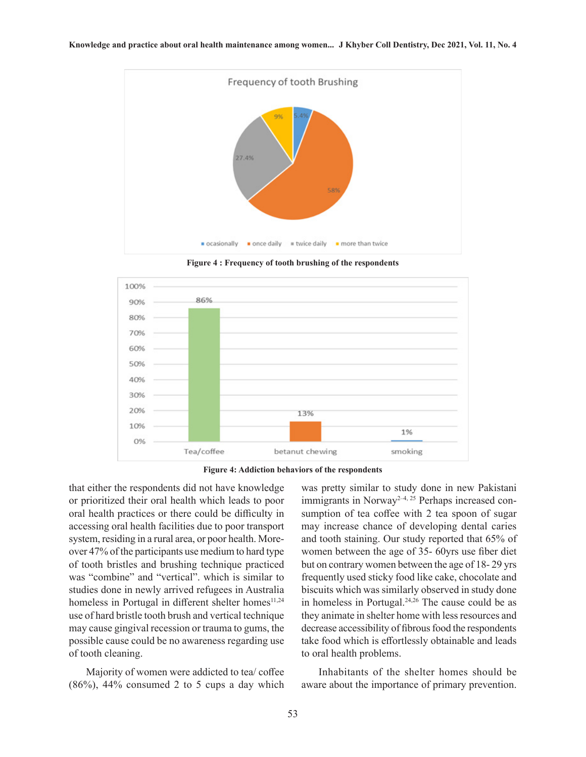

**Figure 4 : Frequency of tooth brushing of the respondents**



**Figure 4: Addiction behaviors of the respondents**

that either the respondents did not have knowledge or prioritized their oral health which leads to poor oral health practices or there could be difficulty in accessing oral health facilities due to poor transport system, residing in a rural area, or poor health. Moreover 47% of the participants use medium to hard type of tooth bristles and brushing technique practiced was "combine" and "vertical". which is similar to studies done in newly arrived refugees in Australia homeless in Portugal in different shelter homes<sup>11,24</sup> use of hard bristle tooth brush and vertical technique may cause gingival recession or trauma to gums, the possible cause could be no awareness regarding use of tooth cleaning.

Majority of women were addicted to tea/ coffee  $(86\%)$ , 44% consumed 2 to 5 cups a day which was pretty similar to study done in new Pakistani immigrants in Norway<sup>2-4, 25</sup> Perhaps increased consumption of tea coffee with 2 tea spoon of sugar may increase chance of developing dental caries and tooth staining. Our study reported that 65% of women between the age of 35- 60yrs use fiber diet but on contrary women between the age of 18- 29 yrs frequently used sticky food like cake, chocolate and biscuits which was similarly observed in study done in homeless in Portugal. $24,26$  The cause could be as they animate in shelter home with less resources and decrease accessibility of fibrous food the respondents take food which is effortlessly obtainable and leads to oral health problems.

Inhabitants of the shelter homes should be aware about the importance of primary prevention.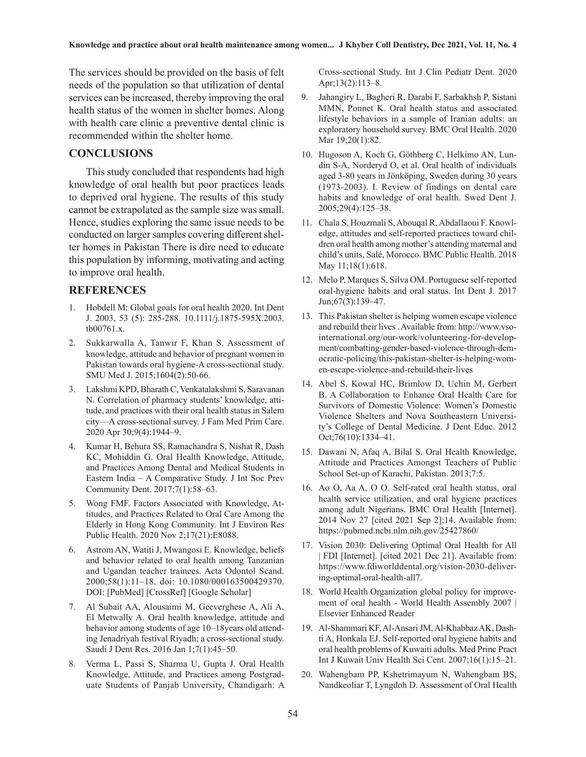The services should be provided on the basis of felt needs of the population so that utilization of dental services can be increased, thereby improving the oral health status of the women in shelter homes. Along with health care clinic a preventive dental clinic is recommended within the shelter home.

#### **CONCLUSIONS**

This study concluded that respondents had high knowledge of oral health but poor practices leads to deprived oral hygiene. The results of this study cannot be extrapolated as the sample size was small. Hence, studies exploring the same issue needs to be conducted on larger samples covering different shelter homes in Pakistan There is dire need to educate this population by informing, motivating and acting to improve oral health.

#### **REFERENCES**

- 1. Hobdell M: Global goals for oral health 2020. Int Dent J. 2003, 53 (5): 285-288. 10.1111/j.1875-595X.2003. tb00761.x.
- 2. Sukkarwalla A, Tanwir F, Khan S. Assessment of knowledge, attitude and behavior of pregnant women in Pakistan towards oral hygiene-A cross-sectional study. SMU Med J. 2015;1604(2):50-66.
- 3. Lakshmi KPD, Bharath C, Venkatalakshmi S, Saravanan N. Correlation of pharmacy students' knowledge, attitude, and practices with their oral health status in Salem city—A cross-sectional survey. J Fam Med Prim Care. 2020 Apr 30;9(4):1944–9.
- 4. Kumar H, Behura SS, Ramachandra S, Nishat R, Dash KC, Mohiddin G. Oral Health Knowledge, Attitude, and Practices Among Dental and Medical Students in Eastern India – A Comparative Study. J Int Soc Prev Community Dent. 2017;7(1):58–63.
- 5. Wong FMF. Factors Associated with Knowledge, Attitudes, and Practices Related to Oral Care Among the Elderly in Hong Kong Community. Int J Environ Res Public Health. 2020 Nov 2;17(21):E8088.
- 6. Astrom AN, Watiti J, Mwangosi E. Knowledge, beliefs and behavior related to oral health among Tanzanian and Ugandan teacher trainees. Acta Odontol Scand. 2000;58(1):11–18. doi: 10.1080/000163500429370. DOI: [PubMed] [CrossRef] [Google Scholar]
- 7. Al Subait AA, Alousaimi M, Geeverghese A, Ali A, El Metwally A. Oral health knowledge, attitude and behavior among students of age 10–18years old attending Jenadriyah festival Riyadh; a cross-sectional study. Saudi J Dent Res. 2016 Jan 1;7(1):45–50.
- 8. Verma L, Passi S, Sharma U, Gupta J. Oral Health Knowledge, Attitude, and Practices among Postgraduate Students of Panjab University, Chandigarh: A

Cross-sectional Study. Int J Clin Pediatr Dent. 2020 Apr;13(2):113–8.

- 9. Jahangiry L, Bagheri R, Darabi F, Sarbakhsh P, Sistani MMN, Ponnet K. Oral health status and associated lifestyle behaviors in a sample of Iranian adults: an exploratory household survey. BMC Oral Health. 2020 Mar 19;20(1):82.
- 10. Hugoson A, Koch G, Göthberg C, Helkimo AN, Lundin S-A, Norderyd O, et al. Oral health of individuals aged 3-80 years in Jönköping, Sweden during 30 years (1973-2003). I. Review of findings on dental care habits and knowledge of oral health. Swed Dent J. 2005;29(4):125–38.
- 11. Chala S, Houzmali S, Abouqal R, Abdallaoui F. Knowledge, attitudes and self-reported practices toward children oral health among mother's attending maternal and child's units, Salé, Morocco. BMC Public Health. 2018 May 11;18(1):618.
- 12. Melo P, Marques S, Silva OM. Portuguese self-reported oral-hygiene habits and oral status. Int Dent J. 2017 Jun;67(3):139–47.
- 13. This Pakistan shelter is helping women escape violence and rebuild their lives . Available from: http://www.vsointernational.org/our-work/volunteering-for-development/combatting-gender-based-violence-through-democratic-policing/this-pakistan-shelter-is-helping-women-escape-violence-and-rebuild-their-lives
- 14. Abel S, Kowal HC, Brimlow D, Uchin M, Gerbert B. A Collaboration to Enhance Oral Health Care for Survivors of Domestic Violence: Women's Domestic Violence Shelters and Nova Southeastern University's College of Dental Medicine. J Dent Educ. 2012 Oct;76(10):1334–41.
- 15. Dawani N, Afaq A, Bilal S. Oral Health Knowledge, Attitude and Practices Amongst Teachers of Public School Set-up of Karachi, Pakistan. 2013;7:5.
- 16. Ao O, Aa A, O O. Self-rated oral health status, oral health service utilization, and oral hygiene practices among adult Nigerians. BMC Oral Health [Internet]. 2014 Nov 27 [cited 2021 Sep 2];14. Available from: https://pubmed.ncbi.nlm.nih.gov/25427860/
- 17. Vision 2030: Delivering Optimal Oral Health for All | FDI [Internet]. [cited 2021 Dec 21]. Available from: https://www.fdiworlddental.org/vision-2030-delivering-optimal-oral-health-all7.
- 18. World Health Organization global policy for improvement of oral health - World Health Assembly 2007 | Elsevier Enhanced Reader
- 19. Al-Shammari KF, Al-Ansari JM, Al-Khabbaz AK, Dashti A, Honkala EJ. Self-reported oral hygiene habits and oral health problems of Kuwaiti adults. Med Princ Pract Int J Kuwait Univ Health Sci Cent. 2007;16(1):15–21.
- 20. Wahengbam PP, Kshetrimayum N, Wahengbam BS, Nandkeoliar T, Lyngdoh D. Assessment of Oral Health